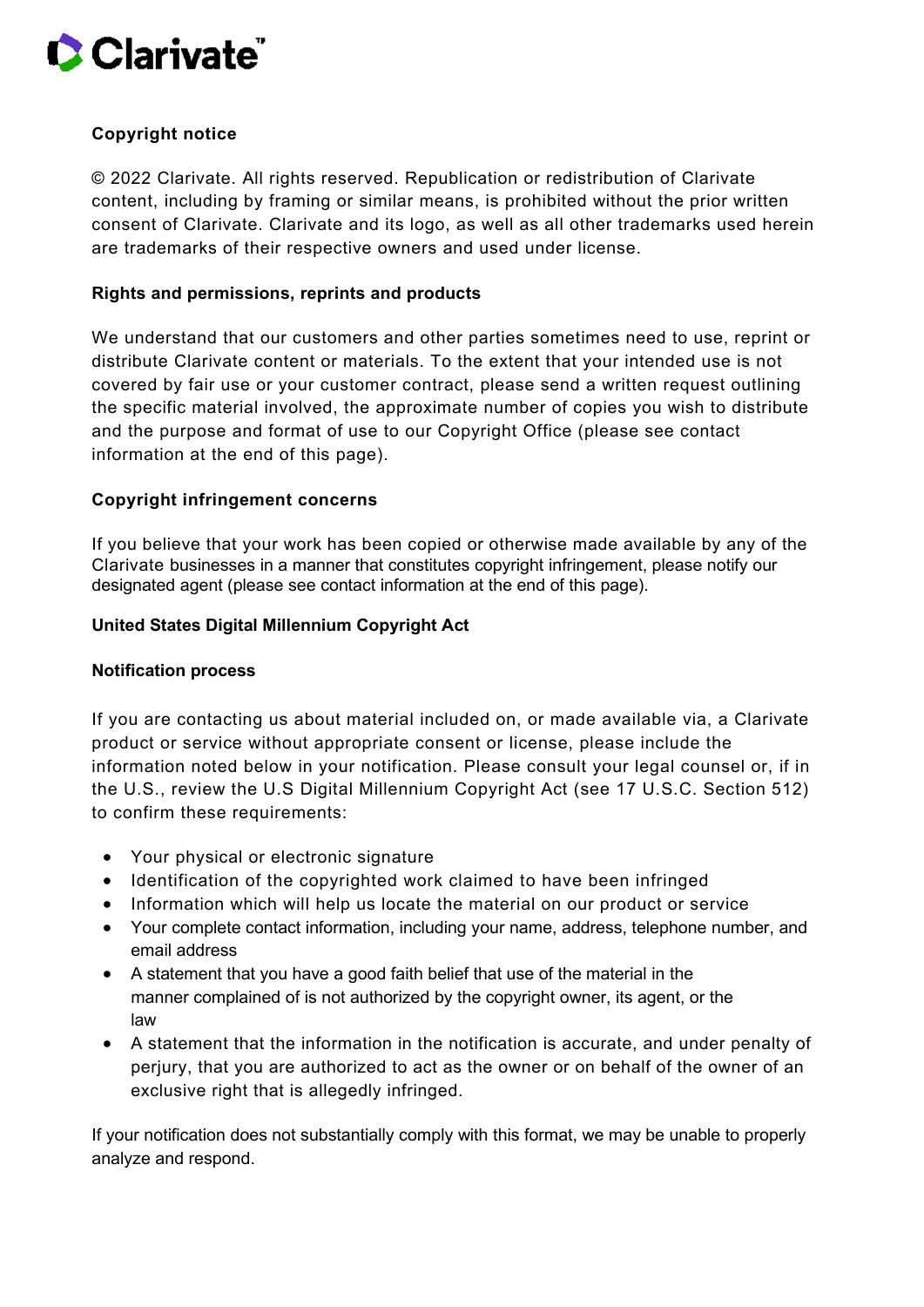

# **Copyright notice**

© 2022 Clarivate. All rights reserved. Republication or redistribution of Clarivate content, including by framing or similar means, is prohibited without the prior written consent of Clarivate. Clarivate and its logo, as well as all other trademarks used herein are trademarks of their respective owners and used under license.

## **Rights and permissions, reprints and products**

We understand that our customers and other parties sometimes need to use, reprint or distribute Clarivate content or materials. To the extent that your intended use is not covered by fair use or your customer contract, please send a written request outlining the specific material involved, the approximate number of copies you wish to distribute and the purpose and format of use to our Copyright Office (please see contact information at the end of this page).

### **Copyright infringement concerns**

If you believe that your work has been copied or otherwise made available by any of the Clarivate businesses in a manner that constitutes copyright infringement, please notify our designated agent (please see contact information at the end of this page).

#### **United States Digital Millennium Copyright Act**

#### **Notification process**

If you are contacting us about material included on, or made available via, a Clarivate product or service without appropriate consent or license, please include the information noted below in your notification. Please consult your legal counsel or, if in the U.S., review the U.S Digital Millennium Copyright Act (see 17 U.S.C. Section 512) to confirm these requirements:

- Your physical or electronic signature
- Identification of the copyrighted work claimed to have been infringed
- Information which will help us locate the material on our product or service
- Your complete contact information, including your name, address, telephone number, and email address
- A statement that you have a good faith belief that use of the material in the manner complained of is not authorized by the copyright owner, its agent, or the law
- A statement that the information in the notification is accurate, and under penalty of perjury, that you are authorized to act as the owner or on behalf of the owner of an exclusive right that is allegedly infringed.

If your notification does not substantially comply with this format, we may be unable to properly analyze and respond.